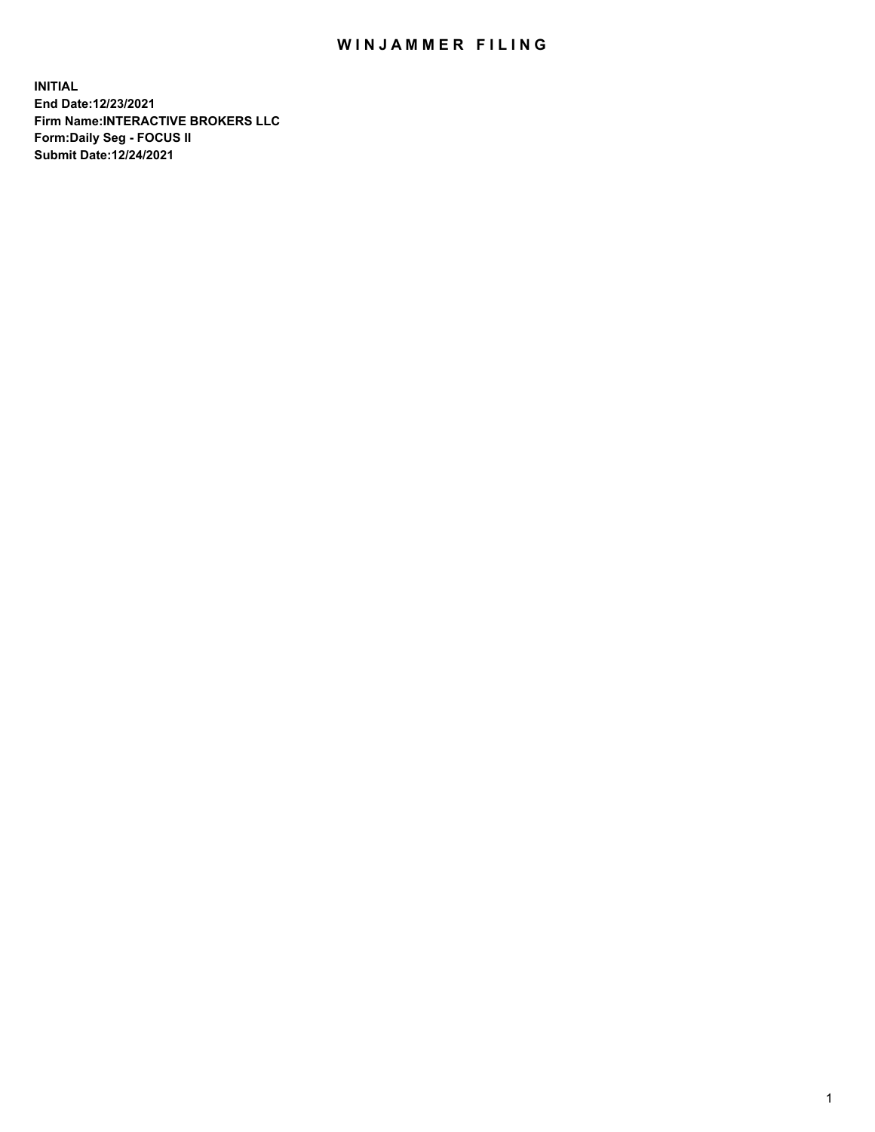## WIN JAMMER FILING

**INITIAL End Date:12/23/2021 Firm Name:INTERACTIVE BROKERS LLC Form:Daily Seg - FOCUS II Submit Date:12/24/2021**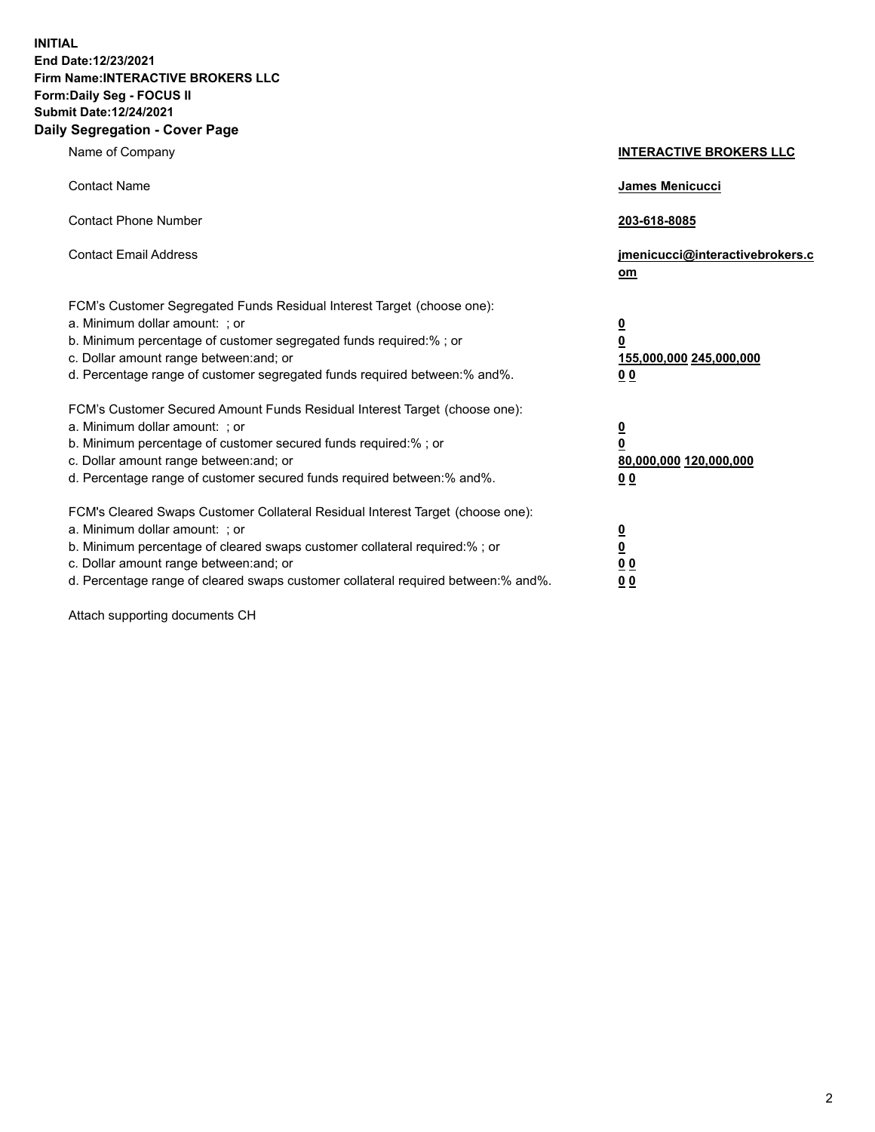**INITIAL End Date:12/23/2021 Firm Name:INTERACTIVE BROKERS LLC Form:Daily Seg - FOCUS II Submit Date:12/24/2021 Daily Segregation - Cover Page**

| Name of Company                                                                                                                                                                                                                                                                                                                | <b>INTERACTIVE BROKERS LLC</b>                                                                           |  |
|--------------------------------------------------------------------------------------------------------------------------------------------------------------------------------------------------------------------------------------------------------------------------------------------------------------------------------|----------------------------------------------------------------------------------------------------------|--|
| <b>Contact Name</b>                                                                                                                                                                                                                                                                                                            | James Menicucci                                                                                          |  |
| <b>Contact Phone Number</b>                                                                                                                                                                                                                                                                                                    | 203-618-8085                                                                                             |  |
| <b>Contact Email Address</b>                                                                                                                                                                                                                                                                                                   | jmenicucci@interactivebrokers.c<br>om                                                                    |  |
| FCM's Customer Segregated Funds Residual Interest Target (choose one):<br>a. Minimum dollar amount: ; or<br>b. Minimum percentage of customer segregated funds required:%; or<br>c. Dollar amount range between: and; or<br>d. Percentage range of customer segregated funds required between:% and%.                          | <u>0</u><br>$\overline{\mathbf{0}}$<br>155,000,000 245,000,000<br>0 <sub>0</sub>                         |  |
| FCM's Customer Secured Amount Funds Residual Interest Target (choose one):<br>a. Minimum dollar amount: ; or<br>b. Minimum percentage of customer secured funds required:%; or<br>c. Dollar amount range between: and; or<br>d. Percentage range of customer secured funds required between:% and%.                            | <u>0</u><br>$\overline{\mathbf{0}}$<br>80,000,000 120,000,000<br><u>00</u>                               |  |
| FCM's Cleared Swaps Customer Collateral Residual Interest Target (choose one):<br>a. Minimum dollar amount: ; or<br>b. Minimum percentage of cleared swaps customer collateral required:% ; or<br>c. Dollar amount range between: and; or<br>d. Percentage range of cleared swaps customer collateral required between:% and%. | $\overline{\mathbf{0}}$<br>$\underline{\mathbf{0}}$<br>$\underline{0}$ $\underline{0}$<br>0 <sub>0</sub> |  |

Attach supporting documents CH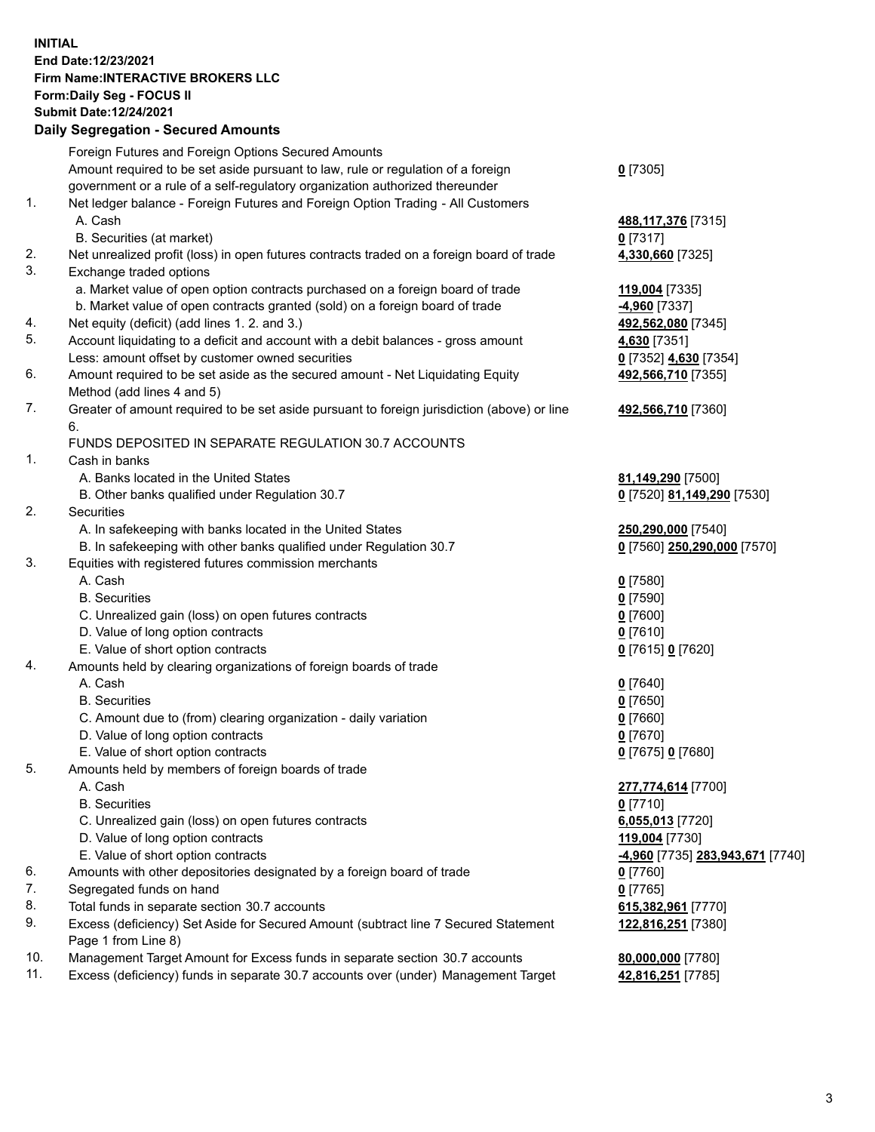## **INITIAL End Date:12/23/2021 Firm Name:INTERACTIVE BROKERS LLC Form:Daily Seg - FOCUS II Submit Date:12/24/2021 Daily Segregation - Secured Amounts**

| $0$ [7305]<br>488, 117, 376 [7315]<br>$0$ [7317]<br>4,330,660 [7325]<br>119,004 [7335]<br>-4,960 [7337]<br>492,562,080 [7345]<br>4,630 [7351]<br>0 [7352] 4,630 [7354]<br>492,566,710 [7355] |
|----------------------------------------------------------------------------------------------------------------------------------------------------------------------------------------------|
|                                                                                                                                                                                              |
|                                                                                                                                                                                              |
|                                                                                                                                                                                              |
|                                                                                                                                                                                              |
|                                                                                                                                                                                              |
|                                                                                                                                                                                              |
|                                                                                                                                                                                              |
|                                                                                                                                                                                              |
|                                                                                                                                                                                              |
|                                                                                                                                                                                              |
|                                                                                                                                                                                              |
|                                                                                                                                                                                              |
|                                                                                                                                                                                              |
|                                                                                                                                                                                              |
|                                                                                                                                                                                              |
| 492,566,710 [7360]                                                                                                                                                                           |
|                                                                                                                                                                                              |
|                                                                                                                                                                                              |
|                                                                                                                                                                                              |
| 81,149,290 [7500]                                                                                                                                                                            |
| 0 [7520] 81,149,290 [7530]                                                                                                                                                                   |
|                                                                                                                                                                                              |
| 250,290,000 [7540]                                                                                                                                                                           |
| 0 [7560] 250,290,000 [7570]                                                                                                                                                                  |
|                                                                                                                                                                                              |
| $0$ [7580]                                                                                                                                                                                   |
| $0$ [7590]                                                                                                                                                                                   |
| $0$ [7600]                                                                                                                                                                                   |
| $0$ [7610]                                                                                                                                                                                   |
| 0 [7615] 0 [7620]                                                                                                                                                                            |
|                                                                                                                                                                                              |
| $0$ [7640]                                                                                                                                                                                   |
| $0$ [7650]                                                                                                                                                                                   |
| $0$ [7660]                                                                                                                                                                                   |
| $0$ [7670]                                                                                                                                                                                   |
| 0 [7675] 0 [7680]                                                                                                                                                                            |
|                                                                                                                                                                                              |
| 277,774,614 [7700]                                                                                                                                                                           |
| $0$ [7710]                                                                                                                                                                                   |
| 6,055,013 [7720]                                                                                                                                                                             |
| 119,004 [7730]                                                                                                                                                                               |
| <u>-4,960</u> [7735] <u>283,943,671</u> [7740]                                                                                                                                               |
| 0 [7760]                                                                                                                                                                                     |
| $0$ [7765]                                                                                                                                                                                   |
| 615,382,961 [7770]                                                                                                                                                                           |
|                                                                                                                                                                                              |
| 122,816,251 [7380]                                                                                                                                                                           |
|                                                                                                                                                                                              |
| 80,000,000 [7780]<br>42,816,251 [7785]                                                                                                                                                       |
|                                                                                                                                                                                              |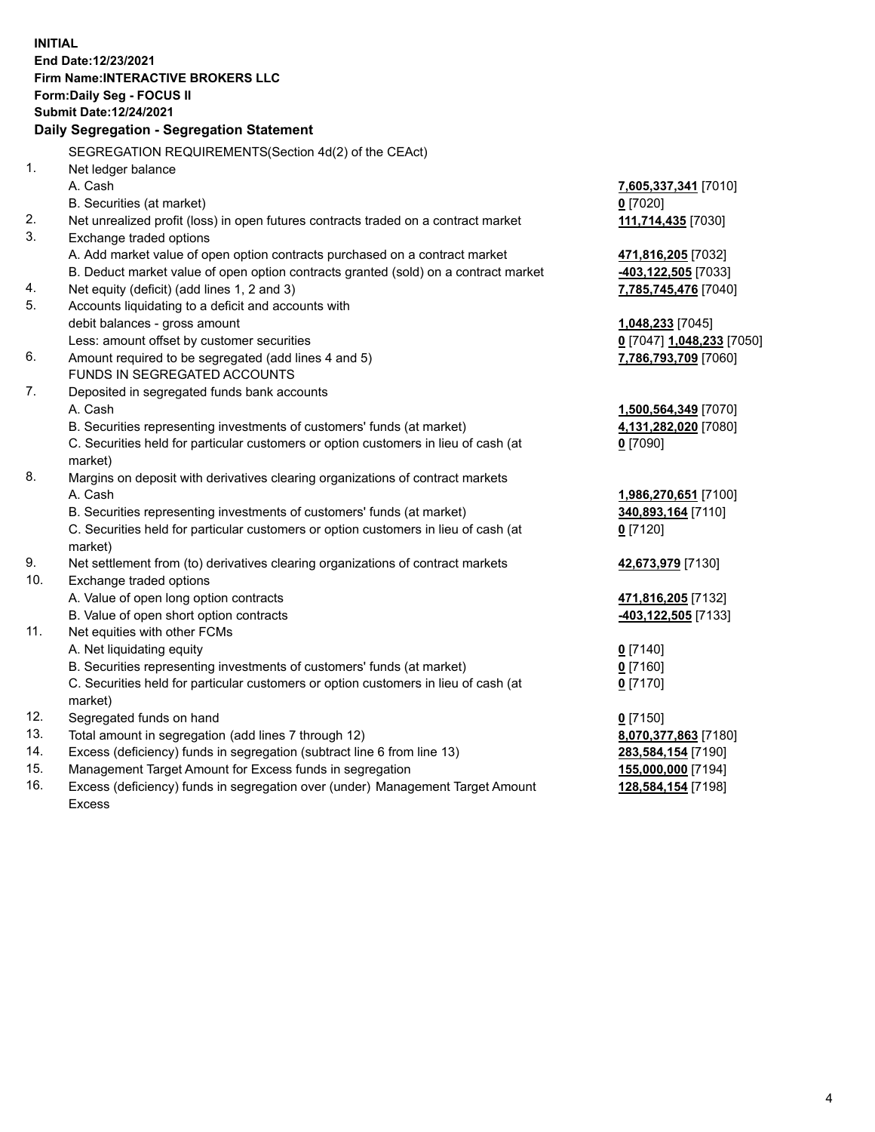**INITIAL End Date:12/23/2021 Firm Name:INTERACTIVE BROKERS LLC Form:Daily Seg - FOCUS II Submit Date:12/24/2021 Daily Segregation - Segregation Statement** SEGREGATION REQUIREMENTS(Section 4d(2) of the CEAct) 1. Net ledger balance A. Cash **7,605,337,341** [7010] B. Securities (at market) **0** [7020] 2. Net unrealized profit (loss) in open futures contracts traded on a contract market **111,714,435** [7030] 3. Exchange traded options A. Add market value of open option contracts purchased on a contract market **471,816,205** [7032] B. Deduct market value of open option contracts granted (sold) on a contract market **-403,122,505** [7033] 4. Net equity (deficit) (add lines 1, 2 and 3) **7,785,745,476** [7040] 5. Accounts liquidating to a deficit and accounts with debit balances - gross amount **1,048,233** [7045] Less: amount offset by customer securities **0** [7047] **1,048,233** [7050] 6. Amount required to be segregated (add lines 4 and 5) **7,786,793,709** [7060] FUNDS IN SEGREGATED ACCOUNTS 7. Deposited in segregated funds bank accounts A. Cash **1,500,564,349** [7070] B. Securities representing investments of customers' funds (at market) **4,131,282,020** [7080] C. Securities held for particular customers or option customers in lieu of cash (at market) **0** [7090] 8. Margins on deposit with derivatives clearing organizations of contract markets A. Cash **1,986,270,651** [7100] B. Securities representing investments of customers' funds (at market) **340,893,164** [7110] C. Securities held for particular customers or option customers in lieu of cash (at market) **0** [7120] 9. Net settlement from (to) derivatives clearing organizations of contract markets **42,673,979** [7130] 10. Exchange traded options A. Value of open long option contracts **471,816,205** [7132] B. Value of open short option contracts **-403,122,505** [7133] 11. Net equities with other FCMs A. Net liquidating equity **0** [7140] B. Securities representing investments of customers' funds (at market) **0** [7160] C. Securities held for particular customers or option customers in lieu of cash (at market) **0** [7170] 12. Segregated funds on hand **0** [7150] 13. Total amount in segregation (add lines 7 through 12) **8,070,377,863** [7180] 14. Excess (deficiency) funds in segregation (subtract line 6 from line 13) **283,584,154** [7190] 15. Management Target Amount for Excess funds in segregation **155,000,000** [7194] 16. Excess (deficiency) funds in segregation over (under) Management Target Amount **128,584,154** [7198]

Excess